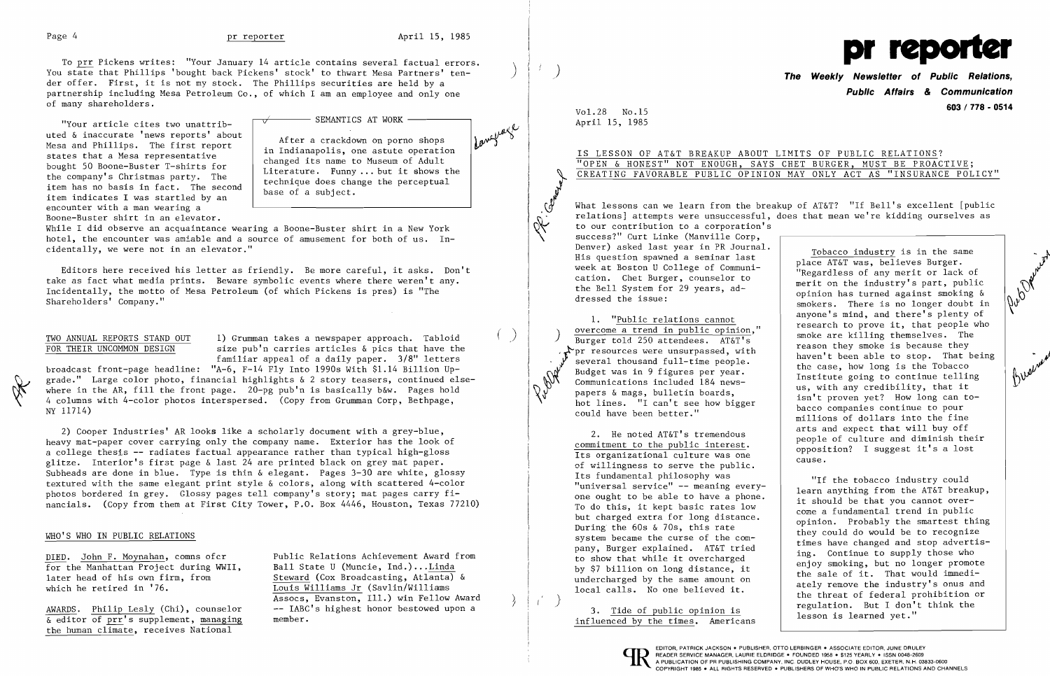To prr Pickens writes: "Your January 14 article contains several factual errors. ) You state that Phillips 'bought back Pickens' stock' to thwart Mesa Partners' tender offer. First, it is not my stock. The Phillips securities are held by a partnership including Mesa Petroleum Co., of which I am an employee and only one of many shareholders.

> After a crackdown on porno shops  $\int_{0}^{1} e^{y^2} \left| \int_{0}^{1} e^{y^2} \right|^{1/2}$ Indianapolis, one astute operation

 $v$ Your article cites two unattrib-  $\begin{bmatrix} \sqrt{v} & \sqrt{v} & \sqrt{v} \end{bmatrix}$  SEMANTICS AT WORK  $\begin{bmatrix} \sqrt{v} & \sqrt{v} & \sqrt{v} \end{bmatrix}$ uted & inaccurate 'news reports' about Mesa and Phillips. The first report<br>in Indianapolis, one astute operation<br>changed its name to Museum of Adult states that a Mesa representative<br>bought 50 Boone-Buster T-shirts for<br>the company's Christmas party. The<br>item has no basis in fact. The second<br>item indicates I was startled by an<br>item indicates I was startled by an encounter with a man wearing a Boone-Buster shirt in an elevator.

TWO ANNUAL REPORTS STAND OUT 1) Grumman takes a newspaper approach. Tabloid FOR THEIR UNCOMMON DESIGN size pub'n carries articles & pies that have the familiar appeal of a daily paper. *3/8"* letters

While I did observe an acquaintance wearing a Boone-Buster shirt in a New York hotel, the encounter was amiable and a source of amusement for both of us. Incidentally, we were not in an elevator."

Editors here received his letter as friendly. Be more careful, it asks. Don't take as fact what media prints. Beware symbolic events where there weren't any. Incidentally, the motto of Mesa Petroleum (of which Pickens is pres) is "The Shareholders' Company."

DIED. John F. Moynahan, comns ofcr<br>
For the Manhattan Project during WWII. Ball State U (Muncie, Ind.)...Linda  $\overline{\text{Louis Williams}}$  Jr (Savlin/Williams Assocs, Evanston, Ill.) win Fellow Award

AWARDS. Philip Lesly (Chi), counselor  $\overline{\&}$  editor of prr's supplement, managing member. the human climate, receives National

broadcast front-page headline: "A-6, F-14 Fly Into 1990s With \$1.14 Billion Upgrade." Large color photo, financial highlights  $\&$  2 story teasers, continued elsewhere in the AR, fill the front page. 20-pg pub'n is basically b&w. Pages hold 4 columns with 4-color photos interspersed. (Copy from Grumman Corp, Bethpage, NY 11714)

2) Cooper Industries' AR looks like a scholarly document with a grey-blue, heavy mat-paper cover carrying only the company name. Exterior has the look of a college thesis -- radiates factual appearance rather than typical high-gloss glitze. Interior's first page & last 24 are printed black on grey mat paper. Subheads are done in blue. Type is thin & elegant. Pages 3-30 are white, glossy textured with the same elegant print style & colors, along with scattered 4-color photos bordered in grey. Glossy pages tell company's story; mat pages carry financials. (Copy from them at First City Tower, P.O. Box 4446, Houston, Texas 77210)

**.Com** what lessons can we learn from the breakup of AT&T? "If Bell's excellent [public<br>relations] attempts were unsuccessful, does that mean we're kidding ourselves as What lessons can we learn from the breakup of AT&T? "If Bell's excellent [public to our contribution to a corporation's success?" Curt Linke (Manville Corp,<br>Denver) asked last year in PR Journal. Denver) asked last year in PR Journal.<br>
His question spawned a seminar last<br>
week at Boston U College of Communi-<br>
cation. Chet Burger, counselor to<br>
the Bell System for 29 years, ad-<br>
eminion has turned against smoking & the Bell System for 29 years, ad-<br>dressed the issue:<br>1. "<u>Public relations cannot</u><br>2. There is no longer doubt in the industry spart, public<br>anyone's mind, and there's plenty of<br>2. There is no longer doubt in<br>2. There is n overcome a trend in public opinion,"<br>Burger told 250 attendees. AT&T's<br>Pur resources were unsurpassed, with Burger told 250 attendees. AT&T's<br>
For resources were unsurpassed, with<br>
Several thousand full-time people.<br>
The case, how long is the Tobacco<br>
That it is soing to continue telling<br>
and the case, the soing to continue tel  $Communications included 184 news-papers & mags, bulletin boards.$ haven't been able to stop. That being<br>the case, how long is the Tobacco<br>Institute going to continue telling<br>us, with any credibility, that it Communications included 184 news-<br>
papers & mags, bulletin boards,<br>
hot lines. "I can't see how bigger<br>
could have been better."<br>
and the bacco companies continue to pour<br>
millions of dollars into the fine cound have been better.<br>
2. He noted AT&T's tremendous<br>
<u>commitment to the public interest</u>.<br>  $\underbrace{\text{commitment}}_{\text{opposition}}$  to the public interest.<br>  $\underbrace{\text{opposition}}_{\text{opposition}}$  I suggest it's a lost Its organizational culture was one

cause.<br>The villingness to serve the public. Its fundamental philosophy was

## WHO'S WHO IN PUBLIC RELATIONS

for the Manhattan Project during WWII,<br>later head of his own firm, from later head of his own firm, from  $\frac{\text{Steward}}{\text{Louis Williams Jr}}$  (Cox Broadcasting, Atlanta) & which he retired in '76.



**Public Affairs** *&* **Communication 603/778 - <sup>0514</sup>**Vol. 28 No. 15

| LIMITS OF PUBLIC RELATIONS?     |  |  |  |                                      |
|---------------------------------|--|--|--|--------------------------------------|
| CHET BURGER, MUST BE PROACTIVE; |  |  |  |                                      |
|                                 |  |  |  | N MAY ONLY ACT AS "INSURANCE POLICY" |

"If the tobacco industry could<br>"universal service" -- meaning every-<br>one ought to be able to have a phone.<br>To do this, it kept basic rates low<br>come a fundamental trend in public but charged extra for long distance.<br>
During the 60s & 70s, this rate opinion. Probably the smartest thing<br>
system became the curse of the com-<br>
pany, Burger explained. AT&T tried ing. Continue to supply those who pany, Burger explained. AT&T tried<br>to show that while it overcharged<br>by \$7 billion on long distance, it<br>undercharged by the same amount on<br>local calls. No one believed it.<br>3. <u>Tide of public opinion is</u><br>influenced by the t

April 15, 1985

# IS LESSON OF AT&T BREAKUP ABOUT I "OPEN & HONEST" NOT ENOUGH, SAYS CREATING FAVORABLE PUBLIC OPINION

-J-